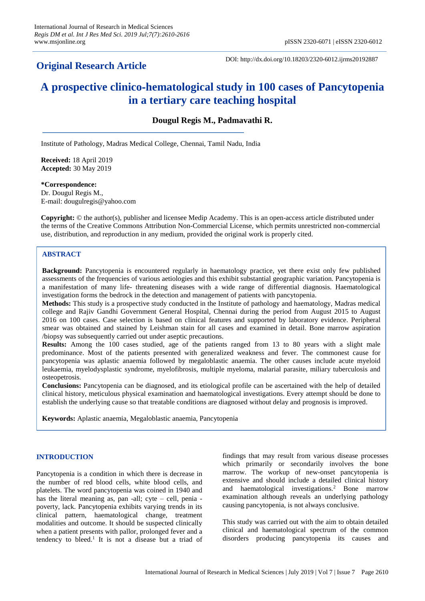# **Original Research Article**

DOI: http://dx.doi.org/10.18203/2320-6012.ijrms20192887

# **A prospective clinico**‑**hematological study in 100 cases of Pancytopenia in a tertiary care teaching hospital**

# **Dougul Regis M., Padmavathi R.**

Institute of Pathology, Madras Medical College, Chennai, Tamil Nadu, India

**Received:** 18 April 2019 **Accepted:** 30 May 2019

**\*Correspondence:**

Dr. Dougul Regis M., E-mail: dougulregis@yahoo.com

**Copyright:** © the author(s), publisher and licensee Medip Academy. This is an open-access article distributed under the terms of the Creative Commons Attribution Non-Commercial License, which permits unrestricted non-commercial use, distribution, and reproduction in any medium, provided the original work is properly cited.

# **ABSTRACT**

**Background:** Pancytopenia is encountered regularly in haematology practice, yet there exist only few published assessments of the frequencies of various aetiologies and this exhibit substantial geographic variation. Pancytopenia is a manifestation of many life- threatening diseases with a wide range of differential diagnosis. Haematological investigation forms the bedrock in the detection and management of patients with pancytopenia.

**Methods:** This study is a prospective study conducted in the Institute of pathology and haematology, Madras medical college and Rajiv Gandhi Government General Hospital, Chennai during the period from August 2015 to August 2016 on 100 cases. Case selection is based on clinical features and supported by laboratory evidence. Peripheral smear was obtained and stained by Leishman stain for all cases and examined in detail. Bone marrow aspiration /biopsy was subsequently carried out under aseptic precautions.

**Results:** Among the 100 cases studied, age of the patients ranged from 13 to 80 years with a slight male predominance. Most of the patients presented with generalized weakness and fever. The commonest cause for pancytopenia was aplastic anaemia followed by megaloblastic anaemia. The other causes include acute myeloid leukaemia, myelodysplastic syndrome, myelofibrosis, multiple myeloma, malarial parasite, miliary tuberculosis and osteopetrosis.

**Conclusions:** Pancytopenia can be diagnosed, and its etiological profile can be ascertained with the help of detailed clinical history, meticulous physical examination and haematological investigations. Every attempt should be done to establish the underlying cause so that treatable conditions are diagnosed without delay and prognosis is improved.

**Keywords:** Aplastic anaemia, Megaloblastic anaemia, Pancytopenia

# **INTRODUCTION**

Pancytopenia is a condition in which there is decrease in the number of red blood cells, white blood cells, and platelets. The word pancytopenia was coined in 1940 and has the literal meaning as, pan -all; cyte – cell, penia poverty, lack. Pancytopenia exhibits varying trends in its clinical pattern, haematological change, treatment modalities and outcome. It should be suspected clinically when a patient presents with pallor, prolonged fever and a tendency to bleed.<sup>1</sup> It is not a disease but a triad of

findings that may result from various disease processes which primarily or secondarily involves the bone marrow. The workup of new-onset pancytopenia is extensive and should include a detailed clinical history and haematological investigations.<sup>2</sup> Bone marrow examination although reveals an underlying pathology causing pancytopenia, is not always conclusive.

This study was carried out with the aim to obtain detailed clinical and haematological spectrum of the common disorders producing pancytopenia its causes and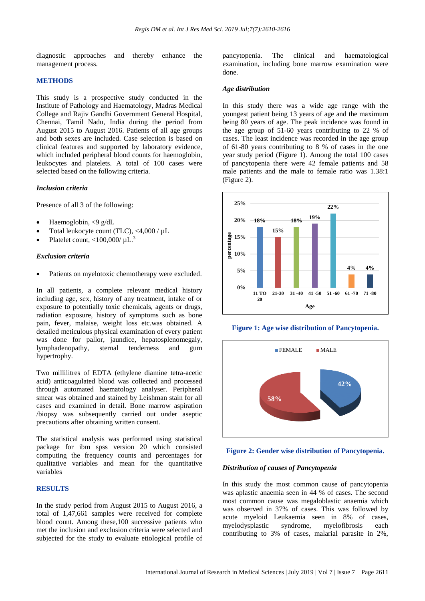diagnostic approaches and thereby enhance the management process.

## **METHODS**

This study is a prospective study conducted in the Institute of Pathology and Haematology, Madras Medical College and Rajiv Gandhi Government General Hospital, Chennai, Tamil Nadu, India during the period from August 2015 to August 2016. Patients of all age groups and both sexes are included. Case selection is based on clinical features and supported by laboratory evidence, which included peripheral blood counts for haemoglobin, leukocytes and platelets. A total of 100 cases were selected based on the following criteria.

## *Inclusion criteria*

Presence of all 3 of the following:

- Haemoglobin, <9 g/dL
- Total leukocyte count (TLC), <4,000 / µL
- Platelet count,  $<$ 100,000/ $\mu$ L.<sup>3</sup>

### *Exclusion criteria*

Patients on myelotoxic chemotherapy were excluded.

In all patients, a complete relevant medical history including age, sex, history of any treatment, intake of or exposure to potentially toxic chemicals, agents or drugs, radiation exposure, history of symptoms such as bone pain, fever, malaise, weight loss etc.was obtained. A detailed meticulous physical examination of every patient was done for pallor, jaundice, hepatosplenomegaly, lymphadenopathy, sternal tenderness and gum hypertrophy.

Two millilitres of EDTA (ethylene diamine tetra-acetic acid) anticoagulated blood was collected and processed through automated haematology analyser. Peripheral smear was obtained and stained by Leishman stain for all cases and examined in detail. Bone marrow aspiration /biopsy was subsequently carried out under aseptic precautions after obtaining written consent.

The statistical analysis was performed using statistical package for ibm spss version 20 which consisted computing the frequency counts and percentages for qualitative variables and mean for the quantitative variables

# **RESULTS**

In the study period from August 2015 to August 2016, a total of 1,47,661 samples were received for complete blood count. Among these,100 successive patients who met the inclusion and exclusion criteria were selected and subjected for the study to evaluate etiological profile of pancytopenia. The clinical and haematological examination, including bone marrow examination were done.

## *Age distribution*

In this study there was a wide age range with the youngest patient being 13 years of age and the maximum being 80 years of age. The peak incidence was found in the age group of 51-60 years contributing to 22 % of cases. The least incidence was recorded in the age group of 61-80 years contributing to 8 % of cases in the one year study period (Figure 1). Among the total 100 cases of pancytopenia there were 42 female patients and 58 male patients and the male to female ratio was 1.38:1 (Figure 2).



**Figure 1: Age wise distribution of Pancytopenia.**



**Figure 2: Gender wise distribution of Pancytopenia.**

## *Distribution of causes of Pancytopenia*

In this study the most common cause of pancytopenia was aplastic anaemia seen in 44 % of cases. The second most common cause was megaloblastic anaemia which was observed in 37% of cases. This was followed by acute myeloid Leukaemia seen in 8% of cases, myelodysplastic syndrome, myelofibrosis each contributing to 3% of cases, malarial parasite in 2%,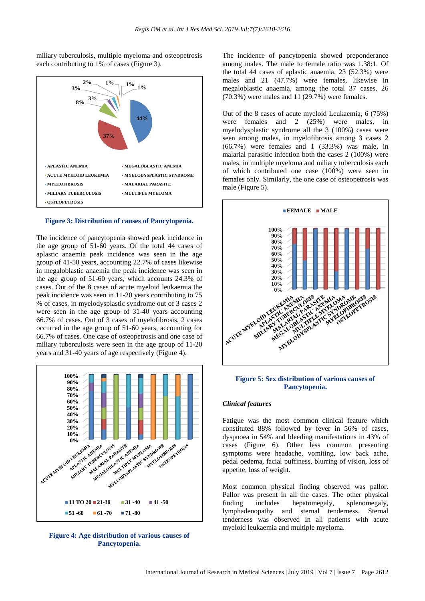miliary tuberculosis, multiple myeloma and osteopetrosis each contributing to 1% of cases (Figure 3).



#### **Figure 3: Distribution of causes of Pancytopenia.**

The incidence of pancytopenia showed peak incidence in the age group of 51-60 years. Of the total 44 cases of aplastic anaemia peak incidence was seen in the age group of 41-50 years, accounting 22.7% of cases likewise in megaloblastic anaemia the peak incidence was seen in the age group of 51-60 years, which accounts 24.3% of cases. Out of the 8 cases of acute myeloid leukaemia the peak incidence was seen in 11-20 years contributing to 75 % of cases, in myelodysplastic syndrome out of 3 cases 2 were seen in the age group of 31-40 years accounting 66.7% of cases. Out of 3 cases of myelofibrosis, 2 cases occurred in the age group of 51-60 years, accounting for 66.7% of cases. One case of osteopetrosis and one case of miliary tuberculosis were seen in the age group of 11-20 years and 31-40 years of age respectively (Figure 4).



**Figure 4: Age distribution of various causes of Pancytopenia.**

The incidence of pancytopenia showed preponderance among males. The male to female ratio was 1.38:1. Of the total 44 cases of aplastic anaemia, 23 (52.3%) were males and 21 (47.7%) were females, likewise in megaloblastic anaemia, among the total 37 cases, 26 (70.3%) were males and 11 (29.7%) were females.

Out of the 8 cases of acute myeloid Leukaemia, 6 (75%) were females and 2 (25%) were males, in myelodysplastic syndrome all the 3 (100%) cases were seen among males, in myelofibrosis among 3 cases 2 (66.7%) were females and 1 (33.3%) was male, in malarial parasitic infection both the cases 2 (100%) were males, in multiple myeloma and miliary tuberculosis each of which contributed one case (100%) were seen in females only. Similarly, the one case of osteopetrosis was male (Figure 5).



# **Figure 5: Sex distribution of various causes of Pancytopenia.**

## *Clinical features*

Fatigue was the most common clinical feature which constituted 88% followed by fever in 56% of cases, dyspnoea in 54% and bleeding manifestations in 43% of cases (Figure 6). Other less common presenting symptoms were headache, vomiting, low back ache, pedal oedema, facial puffiness, blurring of vision, loss of appetite, loss of weight.

Most common physical finding observed was pallor. Pallor was present in all the cases. The other physical finding includes hepatomegaly, splenomegaly, lymphadenopathy and sternal tenderness. Sternal tenderness was observed in all patients with acute myeloid leukaemia and multiple myeloma.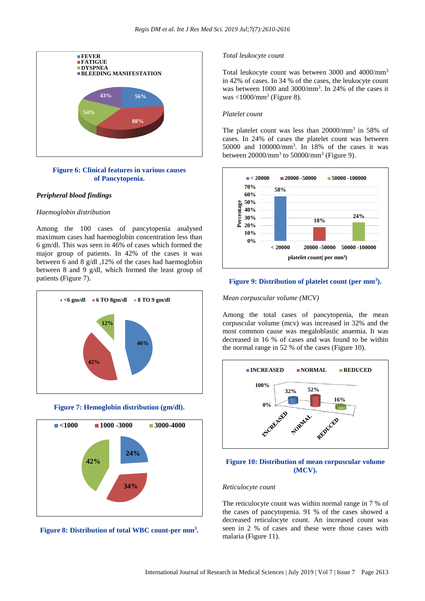

# **Figure 6: Clinical features in various causes of Pancytopenia.**

# *Peripheral blood findings*

## *Haemoglobin distribution*

Among the 100 cases of pancytopenia analysed maximum cases had haemoglobin concentration less than 6 gm/dl. This was seen in 46% of cases which formed the major group of patients. In 42% of the cases it was between 6 and 8 g/dl ,12% of the cases had haemoglobin between 8 and 9 g/dl, which formed the least group of patients (Figure 7).









# *Total leukocyte count*

Total leukocyte count was between 3000 and 4000/mm<sup>3</sup> in 42% of cases. In 34 % of the cases, the leukocyte count was between 1000 and 3000/mm<sup>3</sup> . In 24% of the cases it was  $<$ 1000/mm<sup>3</sup> (Figure 8).

## *Platelet count*

The platelet count was less than 20000/mm<sup>3</sup> in 58% of cases. In 24% of cases the platelet count was between 50000 and 100000/mm<sup>3</sup> . In 18% of the cases it was between  $20000/\text{mm}^3$  to  $50000/\text{mm}^3$  (Figure 9).



# **Figure 9: Distribution of platelet count (per mm<sup>3</sup> ).**

#### *Mean corpuscular volume (MCV)*

Among the total cases of pancytopenia, the mean corpuscular volume (mcv) was increased in 32% and the most common cause was megaloblastic anaemia. It was decreased in 16 % of cases and was found to be within the normal range in 52 % of the cases (Figure 10).



# **Figure 10: Distribution of mean corpuscular volume (MCV).**

#### *Reticulocyte count*

The reticulocyte count was within normal range in 7 % of the cases of pancytopenia. 91 % of the cases showed a decreased reticulocyte count. An increased count was seen in 2 % of cases and these were those cases with malaria (Figure 11).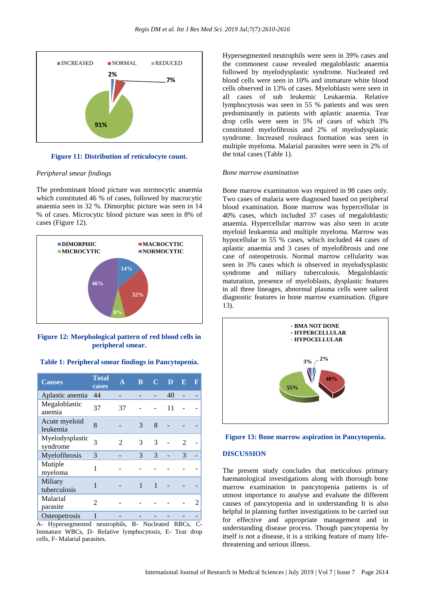

**Figure 11: Distribution of reticulocyte count.**

#### *Peripheral smear findings*

The predominant blood picture was normocytic anaemia which constituted 46 % of cases, followed by macrocytic anaemia seen in 32 %. Dimorphic picture was seen in 14 % of cases. Microcytic blood picture was seen in 8% of cases (Figure 12).



**Figure 12: Morphological pattern of red blood cells in peripheral smear.**

|  | Table 1: Peripheral smear findings in Pancytopenia. |
|--|-----------------------------------------------------|
|--|-----------------------------------------------------|

| <b>Causes</b>               | <b>Total</b><br>cases | A  | B | $\mathbb{C}$ | D  | E | F |
|-----------------------------|-----------------------|----|---|--------------|----|---|---|
| Aplastic anemia             | 44                    |    |   |              | 40 |   |   |
| Megaloblastic<br>anemia     | 37                    | 37 |   |              | 11 |   |   |
| Acute myeloid<br>leukemia   | 8                     |    | 3 | 8            |    |   |   |
| Myelodysplastic<br>syndrome | 3                     | 2  | 3 | 3            |    | 2 |   |
| Myelofibrosis               | 3                     |    | 3 | 3            |    | 3 |   |
| Mutiple<br>myeloma          | 1                     |    |   |              |    |   |   |
| Miliary<br>tuberculosis     | 1                     |    | 1 |              |    |   |   |
| Malarial<br>parasite        | 2                     |    |   |              |    |   |   |
| Osteopetrosis               |                       |    |   |              |    |   |   |

A- Hypersegmented neutrophils, B- Nucleated RBCs, C-Immature WBCs, D- Relative lymphocytosis, E- Tear drop cells, F- Malarial parasites.

Hypersegmented neutrophils were seen in 39% cases and the commonest cause revealed megaloblastic anaemia followed by myelodysplastic syndrome. Nucleated red blood cells were seen in 10% and immature white blood cells observed in 13% of cases. Myeloblasts were seen in all cases of sub leukemic Leukaemia. Relative lymphocytosis was seen in 55 % patients and was seen predominantly in patients with aplastic anaemia. Tear drop cells were seen in 5% of cases of which 3% constituted myelofibrosis and 2% of myelodysplastic syndrome. Increased rouleaux formation was seen in multiple myeloma. Malarial parasites were seen in 2% of the total cases (Table 1).

## *Bone marrow examination*

Bone marrow examination was required in 98 cases only. Two cases of malaria were diagnosed based on peripheral blood examination. Bone marrow was hypercellular in 40% cases, which included 37 cases of megaloblastic anaemia. Hypercellular marrow was also seen in acute myeloid leukaemia and multiple myeloma. Marrow was hypocellular in 55 % cases, which included 44 cases of aplastic anaemia and 3 cases of myelofibrosis and one case of osteopetrosis. Normal marrow cellularity was seen in 3% cases which is observed in myelodysplastic syndrome and miliary tuberculosis. Megaloblastic maturation, presence of myeloblasts, dysplastic features in all three lineages, abnormal plasma cells were salient diagnostic features in bone marrow examination. (figure 13).



#### **Figure 13: Bone marrow aspiration in Pancytopenia.**

#### **DISCUSSION**

The present study concludes that meticulous primary haematological investigations along with thorough bone marrow examination in pancytopenia patients is of utmost importance to analyse and evaluate the different causes of pancytopenia and in understanding It is also helpful in planning further investigations to be carried out for effective and appropriate management and in understanding disease process. Though pancytopenia by itself is not a disease, it is a striking feature of many lifethreatening and serious illness.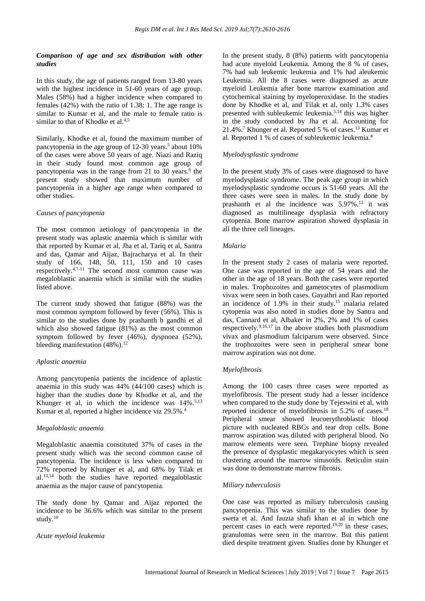# *Comparison of age and sex distribution with other studies*

In this study, the age of patients ranged from 13-80 years with the highest incidence in 51-60 years of age group. Males (58%) had a higher incidence when compared to females (42%) with the ratio of 1.38: 1. The age range is similar to Kumar et al, and the male to female ratio is similar to that of Khodke et al.<sup>4,5</sup>

Similarly, Khodke et al, found the maximum number of pancytopenia in the age group of 12-30 years.<sup>5</sup> about 10% of the cases were above 50 years of age. Niazi and Raziq in their study found most common age group of pancytopenia was in the range from 21 to 30 years.<sup>6</sup> the present study showed that maximum number of pancytopenia in a higher age range when compared to other studies.

# *Causes of pancytopenia*

The most common aetiology of pancytopenia in the present study was aplastic anaemia which is similar with that reported by Kumar et al, Jha et al, Tariq et al, Santra and das, Qamar and Aijaz, Bajracharya et al. In their study of 166, 148, 50, 111, 150 and 10 cases respectively.4,7-11 The second most common cause was megaloblastic anaemia which is similar with the studies listed above.

The current study showed that fatigue (88%) was the most common symptom followed by fever (56%). This is similar to the studies done by prashanth b gandhi et al which also showed fatigue (81%) as the most common symptom followed by fever (46%), dyspnoea (52%), bleeding manifestation  $(48\%)$ .<sup>12</sup>

# *Aplastic anaemia*

Among pancytopenia patients the incidence of aplastic anaemia in this study was 44% (44/100 cases) which is higher than the studies done by Khodke et al, and the Khunger et al, in which the incidence was 14%.<sup>5,13</sup> Kumar et al, reported a higher incidence viz 29.5%.<sup>4</sup>

# *Megaloblastic anaemia*

Megaloblastic anaemia constituted 37% of cases in the present study which was the second common cause of pancytopenia. The incidence is less when compared to 72% reported by Khunger et al, and 68% by Tilak et  $al.<sup>13,14</sup>$  both the studies have reported megaloblastic anaemia as the major cause of pancytopenia.

The study done by Qamar and Aijaz reported the incidence to be 36.6% which was similar to the present study.<sup>10</sup>

## *Acute myeloid leukemia*

In the present study, 8 (8%) patients with pancytopenia had acute myeloid Leukemia. Among the 8 % of cases, 7% had sub leukemic leukemia and 1% had aleukemic Leukemia. All the 8 cases were diagnosed as acute myeloid Leukemia after bone marrow examination and cytochemical staining by myeloperoxidase. In the studies done by Khodke et al, and Tilak et al, only 1.3% cases presented with subleukemic leukemia.5,14 this was higher in the study conducted by Jha et al. Accounting for 21.4%.<sup>7</sup> Khunger et al. Reported 5 % of cases.<sup>13</sup> Kumar et al. Reported 1 % of cases of subleukemic leukemia.<sup>4</sup>

# *Myelodysplastic syndrome*

In the present study 3% of cases were diagnosed to have myelodysplastic syndrome. The peak age group in which myelodysplastic syndrome occurs is 51-60 years. All the three cases were seen in males. In the study done by prashanth et al the incidence was  $5.97\%$ .<sup>12</sup> it was diagnosed as multilineage dysplasia with refractory cytopenia. Bone marrow aspiration showed dysplasia in all the three cell lineages.

# *Malaria*

In the present study 2 cases of malaria were reported. One case was reported in the age of 54 years and the other in the age of 18 years. Both the cases were reported in males. Trophozoites and gametocytes of plasmodium vivax were seen in both cases. Gayathri and Rao reported an incidence of 1.9% in their study.<sup>15</sup> malaria related cytopenia was also noted in studies done by Santra and das, Cannard et al, Albaker in 2%, 2% and 1% of cases respectively.9,16,17 in the above studies both plasmodium vivax and plasmodium falciparum were observed. Since the trophozoites were seen in peripheral smear bone marrow aspiration was not done.

# *Myelofibrosis*

Among the 100 cases three cases were reported as myelofibrosis. The present study had a lesser incidence when compared to the study done by Tejeswini et al, with reported incidence of myelofibrosis in 5.2% of cases.<sup>18</sup> Peripheral smear showed leucoerythroblastic blood picture with nucleated RBCs and tear drop cells. Bone marrow aspiration was diluted with peripheral blood. No marrow elements were seen. Trephine biopsy revealed the presence of dysplastic megakaryocytes which is seen clustering around the marrow sinusoids. Reticulin stain was done to demonstrate marrow fibrosis.

# *Miliary tuberculosis*

One case was reported as miliary tuberculosis causing pancytopenia. This was similar to the studies done by sweta et al. And fauzia shafi khan et al in which one percent cases in each were reported.19,20 in these cases, granulomas were seen in the marrow. But this patient died despite treatment given. Studies done by Khunger et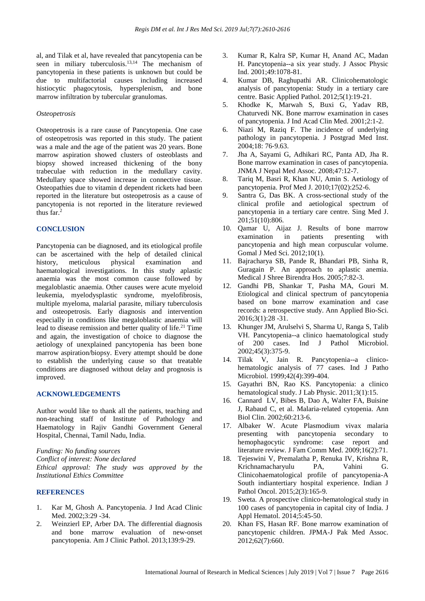al, and Tilak et al, have revealed that pancytopenia can be seen in miliary tuberculosis.<sup>13,14</sup> The mechanism of pancytopenia in these patients is unknown but could be due to multifactorial causes including increased histiocytic phagocytosis, hypersplenism, and bone marrow infiltration by tubercular granulomas.

## *Osteopetrosis*

Osteopetrosis is a rare cause of Pancytopenia. One case of osteopetrosis was reported in this study. The patient was a male and the age of the patient was 20 years. Bone marrow aspiration showed clusters of osteoblasts and biopsy showed increased thickening of the bony trabeculae with reduction in the medullary cavity. Medullary space showed increase in connective tissue. Osteopathies due to vitamin d dependent rickets had been reported in the literature but osteopetrosis as a cause of pancytopenia is not reported in the literature reviewed thus far.<sup>2</sup>

# **CONCLUSION**

Pancytopenia can be diagnosed, and its etiological profile can be ascertained with the help of detailed clinical history, meticulous physical examination and haematological investigations. In this study aplastic anaemia was the most common cause followed by megaloblastic anaemia. Other causes were acute myeloid leukemia, myelodysplastic syndrome, myelofibrosis, multiple myeloma, malarial parasite, miliary tuberculosis and osteopetrosis. Early diagnosis and intervention especially in conditions like megaloblastic anaemia will lead to disease remission and better quality of life.<sup>21</sup> Time and again, the investigation of choice to diagnose the aetiology of unexplained pancytopenia has been bone marrow aspiration/biopsy. Every attempt should be done to establish the underlying cause so that treatable conditions are diagnosed without delay and prognosis is improved.

## **ACKNOWLEDGEMENTS**

Author would like to thank all the patients, teaching and non-teaching staff of Institute of Pathology and Haematology in Rajiv Gandhi Government General Hospital, Chennai, Tamil Nadu, India.

*Funding: No funding sources Conflict of interest: None declared Ethical approval: The study was approved by the Institutional Ethics Committee*

## **REFERENCES**

- 1. Kar M, Ghosh A. Pancytopenia. J Ind Acad Clinic Med. 2002;3:29 -34.
- 2. Weinzierl EP, Arber DA. The differential diagnosis and bone marrow evaluation of new-onset pancytopenia. Am J Clinic Pathol. 2013;139:9-29.
- 3. Kumar R, Kalra SP, Kumar H, Anand AC, Madan H. Pancytopenia--a six year study. J Assoc Physic Ind. 2001;49:1078-81.
- 4. Kumar DB, Raghupathi AR. Clinicohematologic analysis of pancytopenia: Study in a tertiary care centre. Basic Applied Pathol. 2012;5(1):19-21.
- 5. Khodke K, Marwah S, Buxi G, Yadav RB, Chaturvedi NK. Bone marrow examination in cases of pancytopenia. J Ind Acad Clin Med. 2001;2:1-2.
- 6. Niazi M, Raziq F. The incidence of underlying pathology in pancytopenia. J Postgrad Med Inst. 2004;18: 76‑9.63.
- 7. Jha A, Sayami G, Adhikari RC, Panta AD, Jha R. Bone marrow examination in cases of pancytopenia. JNMA J Nepal Med Assoc. 2008;47:12-7.
- 8. Tariq M, Basri R, Khan NU, Amin S. Aetiology of pancytopenia. Prof Med J. 2010;17(02):252-6.
- 9. Santra G, Das BK. A cross-sectional study of the clinical profile and aetiological spectrum of pancytopenia in a tertiary care centre. Sing Med J. 201;51(10):806.
- 10. Qamar U, Aijaz J. Results of bone marrow examination in patients presenting with pancytopenia and high mean corpuscular volume. Gomal J Med Sci. 2012;10(1).
- 11. Bajracharya SB, Pande R, Bhandari PB, Sinha R, Guragain P. An approach to aplastic anemia. Medical J Shree Birendra Hos. 2005;7:82-3.
- 12. Gandhi PB, Shankar T, Pasha MA, Gouri M. Etiological and clinical spectrum of pancytopenia based on bone marrow examination and case records: a retrospective study. Ann Applied Bio-Sci. 2016;3(1):28 -31.
- 13. Khunger JM, Arulselvi S, Sharma U, Ranga S, Talib VH. Pancytopenia--a clinico haematological study of 200 cases. Ind J Pathol Microbiol. 2002;45(3):375-9.
- 14. Tilak V, Jain R. Pancytopenia--a clinicohematologic analysis of 77 cases. Ind J Patho Microbiol. 1999;42(4):399-404.
- 15. Gayathri BN, Rao KS. Pancytopenia: a clinico hematological study. J Lab Physic. 2011;3(1):15.
- 16. Cannard LV, Bibes B, Dao A, Walter FA, Buisine J, Rabaud C, et al. Malaria-related cytopenia. Ann Biol Clin. 2002;60:213‑6.
- 17. Albaker W. Acute Plasmodium vivax malaria presenting with pancytopenia secondary to hemophagocytic syndrome: case report and literature review. J Fam Comm Med. 2009;16(2):71.
- 18. Tejeswini V, Premalatha P, Renuka IV, Krishna R, Krichnamacharyulu PA, Vahini G. Clinicohaematological profile of pancytopenia-A South indiantertiary hospital experience. Indian J Pathol Oncol. 2015;2(3):165-9.
- 19. Sweta. A prospective clinico-hematological study in 100 cases of pancytopenia in capital city of India. J Appl Hematol. 2014;5:45-50.
- 20. Khan FS, Hasan RF. Bone marrow examination of pancytopenic children. JPMA-J Pak Med Assoc. 2012;62(7):660.